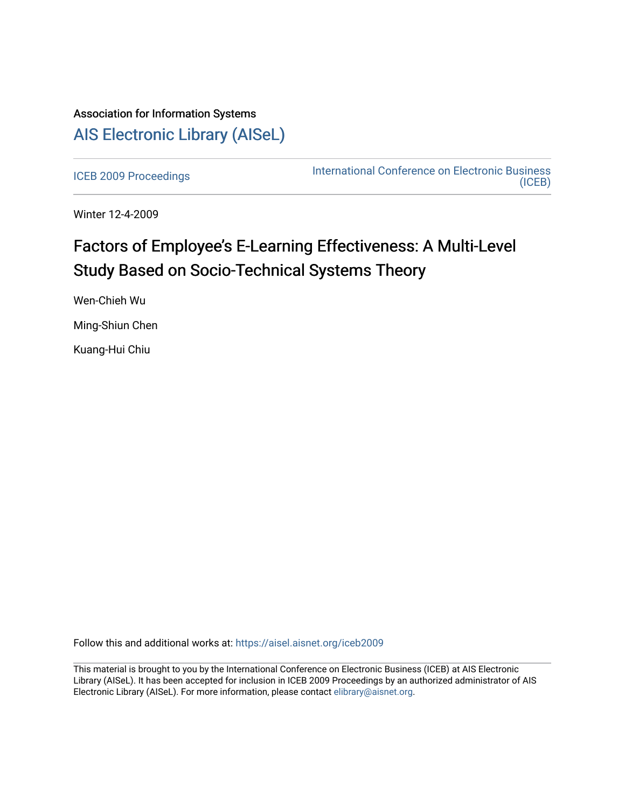## Association for Information Systems [AIS Electronic Library \(AISeL\)](https://aisel.aisnet.org/)

[ICEB 2009 Proceedings](https://aisel.aisnet.org/iceb2009) **International Conference on Electronic Business** [\(ICEB\)](https://aisel.aisnet.org/iceb) 

Winter 12-4-2009

# Factors of Employee's E-Learning Effectiveness: A Multi-Level Study Based on Socio-Technical Systems Theory

Wen-Chieh Wu

Ming-Shiun Chen

Kuang-Hui Chiu

Follow this and additional works at: [https://aisel.aisnet.org/iceb2009](https://aisel.aisnet.org/iceb2009?utm_source=aisel.aisnet.org%2Ficeb2009%2F69&utm_medium=PDF&utm_campaign=PDFCoverPages)

This material is brought to you by the International Conference on Electronic Business (ICEB) at AIS Electronic Library (AISeL). It has been accepted for inclusion in ICEB 2009 Proceedings by an authorized administrator of AIS Electronic Library (AISeL). For more information, please contact [elibrary@aisnet.org.](mailto:elibrary@aisnet.org%3E)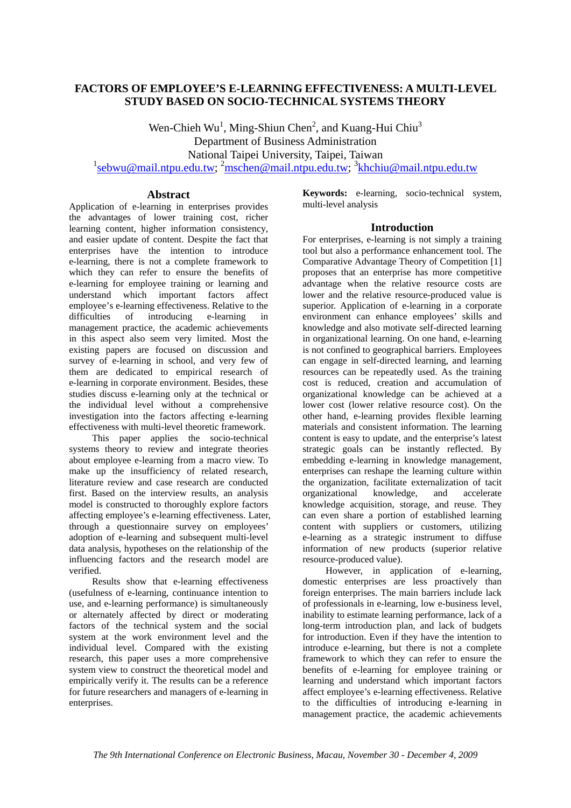## **FACTORS OF EMPLOYEE'S E-LEARNING EFFECTIVENESS: A MULTI-LEVEL STUDY BASED ON SOCIO-TECHNICAL SYSTEMS THEORY**

Wen-Chieh  $Wu<sup>1</sup>$ , Ming-Shiun Chen<sup>2</sup>, and Kuang-Hui Chiu<sup>3</sup> Department of Business Administration National Taipei University, Taipei, Taiwan <sup>1</sup>sebwu@mail.ntpu.edu.tw; <sup>2</sup>mschen@mail.ntpu.edu.tw; <sup>3</sup>khchiu@mail.ntpu.edu.tw

## **Abstract**

Application of e-learning in enterprises provides the advantages of lower training cost, richer learning content, higher information consistency, and easier update of content. Despite the fact that enterprises have the intention to introduce e-learning, there is not a complete framework to which they can refer to ensure the benefits of e-learning for employee training or learning and understand which important factors affect employee's e-learning effectiveness. Relative to the difficulties of introducing e-learning in management practice, the academic achievements in this aspect also seem very limited. Most the existing papers are focused on discussion and survey of e-learning in school, and very few of them are dedicated to empirical research of e-learning in corporate environment. Besides, these studies discuss e-learning only at the technical or the individual level without a comprehensive investigation into the factors affecting e-learning effectiveness with multi-level theoretic framework.

This paper applies the socio-technical systems theory to review and integrate theories about employee e-learning from a macro view. To make up the insufficiency of related research, literature review and case research are conducted first. Based on the interview results, an analysis model is constructed to thoroughly explore factors affecting employee's e-learning effectiveness. Later, through a questionnaire survey on employees' adoption of e-learning and subsequent multi-level data analysis, hypotheses on the relationship of the influencing factors and the research model are verified.

Results show that e-learning effectiveness (usefulness of e-learning, continuance intention to use, and e-learning performance) is simultaneously or alternately affected by direct or moderating factors of the technical system and the social system at the work environment level and the individual level. Compared with the existing research, this paper uses a more comprehensive system view to construct the theoretical model and empirically verify it. The results can be a reference for future researchers and managers of e-learning in enterprises.

**Keywords:** e-learning, socio-technical system, multi-level analysis

## **Introduction**

For enterprises, e-learning is not simply a training tool but also a performance enhancement tool. The Comparative Advantage Theory of Competition [1] proposes that an enterprise has more competitive advantage when the relative resource costs are lower and the relative resource-produced value is superior. Application of e-learning in a corporate environment can enhance employees' skills and knowledge and also motivate self-directed learning in organizational learning. On one hand, e-learning is not confined to geographical barriers. Employees can engage in self-directed learning, and learning resources can be repeatedly used. As the training cost is reduced, creation and accumulation of organizational knowledge can be achieved at a lower cost (lower relative resource cost). On the other hand, e-learning provides flexible learning materials and consistent information. The learning content is easy to update, and the enterprise's latest strategic goals can be instantly reflected. By embedding e-learning in knowledge management, enterprises can reshape the learning culture within the organization, facilitate externalization of tacit organizational knowledge, and accelerate knowledge acquisition, storage, and reuse. They can even share a portion of established learning content with suppliers or customers, utilizing e-learning as a strategic instrument to diffuse information of new products (superior relative resource-produced value).

However, in application of e-learning, domestic enterprises are less proactively than foreign enterprises. The main barriers include lack of professionals in e-learning, low e-business level, inability to estimate learning performance, lack of a long-term introduction plan, and lack of budgets for introduction. Even if they have the intention to introduce e-learning, but there is not a complete framework to which they can refer to ensure the benefits of e-learning for employee training or learning and understand which important factors affect employee's e-learning effectiveness. Relative to the difficulties of introducing e-learning in management practice, the academic achievements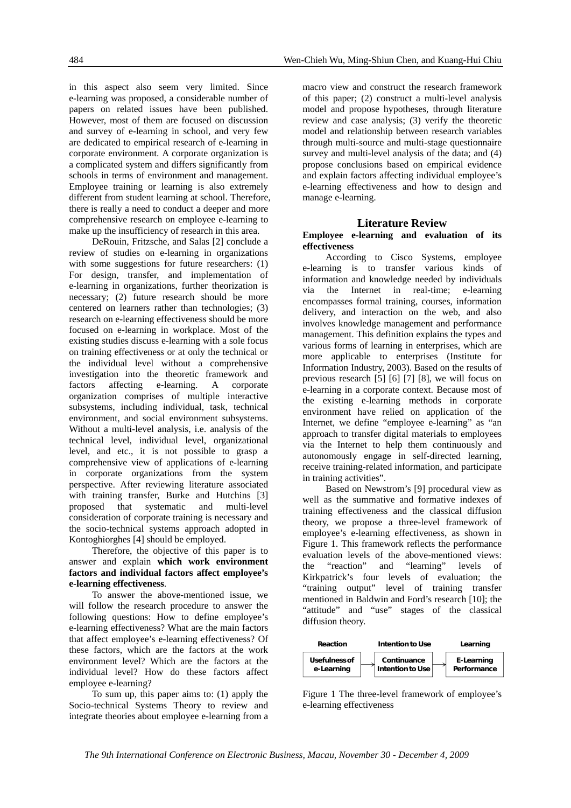484 Wen-Chieh Wu, Ming-Shiun Chen, and Kuang-Hui Chiu

in this aspect also seem very limited. Since e-learning was proposed, a considerable number of papers on related issues have been published. However, most of them are focused on discussion and survey of e-learning in school, and very few are dedicated to empirical research of e-learning in corporate environment. A corporate organization is a complicated system and differs significantly from schools in terms of environment and management. Employee training or learning is also extremely different from student learning at school. Therefore, there is really a need to conduct a deeper and more comprehensive research on employee e-learning to make up the insufficiency of research in this area.

DeRouin, Fritzsche, and Salas [2] conclude a review of studies on e-learning in organizations with some suggestions for future researchers: (1) For design, transfer, and implementation of e-learning in organizations, further theorization is necessary; (2) future research should be more centered on learners rather than technologies; (3) research on e-learning effectiveness should be more focused on e-learning in workplace. Most of the existing studies discuss e-learning with a sole focus on training effectiveness or at only the technical or the individual level without a comprehensive investigation into the theoretic framework and factors affecting e-learning. A corporate organization comprises of multiple interactive subsystems, including individual, task, technical environment, and social environment subsystems. Without a multi-level analysis, i.e. analysis of the technical level, individual level, organizational level, and etc., it is not possible to grasp a comprehensive view of applications of e-learning in corporate organizations from the system perspective. After reviewing literature associated with training transfer, Burke and Hutchins [3] proposed that systematic and multi-level consideration of corporate training is necessary and the socio-technical systems approach adopted in Kontoghiorghes [4] should be employed.

Therefore, the objective of this paper is to answer and explain **which work environment factors and individual factors affect employee's e-learning effectiveness**.

To answer the above-mentioned issue, we will follow the research procedure to answer the following questions: How to define employee's e-learning effectiveness? What are the main factors that affect employee's e-learning effectiveness? Of these factors, which are the factors at the work environment level? Which are the factors at the individual level? How do these factors affect employee e-learning?

To sum up, this paper aims to: (1) apply the Socio-technical Systems Theory to review and integrate theories about employee e-learning from a

macro view and construct the research framework of this paper; (2) construct a multi-level analysis model and propose hypotheses, through literature review and case analysis; (3) verify the theoretic model and relationship between research variables through multi-source and multi-stage questionnaire survey and multi-level analysis of the data; and (4) propose conclusions based on empirical evidence and explain factors affecting individual employee's e-learning effectiveness and how to design and manage e-learning.

#### **Literature Review**

#### **Employee e-learning and evaluation of its effectiveness**

According to Cisco Systems, employee e-learning is to transfer various kinds of information and knowledge needed by individuals via the Internet in real-time; e-learning encompasses formal training, courses, information delivery, and interaction on the web, and also involves knowledge management and performance management. This definition explains the types and various forms of learning in enterprises, which are more applicable to enterprises (Institute for Information Industry, 2003). Based on the results of previous research [5] [6] [7] [8], we will focus on e-learning in a corporate context. Because most of the existing e-learning methods in corporate environment have relied on application of the Internet, we define "employee e-learning" as "an approach to transfer digital materials to employees via the Internet to help them continuously and autonomously engage in self-directed learning, receive training-related information, and participate in training activities".

Based on Newstrom's [9] procedural view as well as the summative and formative indexes of training effectiveness and the classical diffusion theory, we propose a three-level framework of employee's e-learning effectiveness, as shown in Figure 1. This framework reflects the performance evaluation levels of the above-mentioned views: the "reaction" and "learning" levels of Kirkpatrick's four levels of evaluation; the "training output" level of training transfer mentioned in Baldwin and Ford's research [10]; the "attitude" and "use" stages of the classical diffusion theory.



Figure 1 The three-level framework of employee's e-learning effectiveness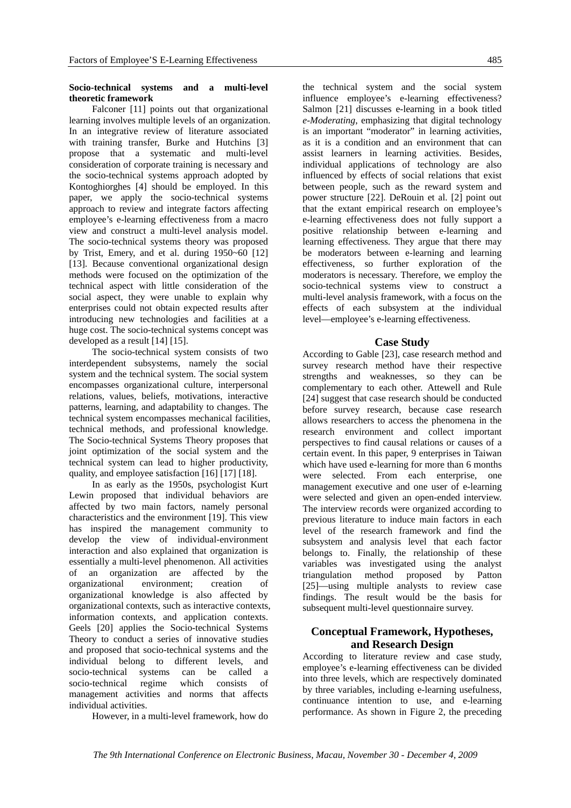#### **Socio-technical systems and a multi-level theoretic framework**

Falconer [11] points out that organizational learning involves multiple levels of an organization. In an integrative review of literature associated with training transfer, Burke and Hutchins [3] propose that a systematic and multi-level consideration of corporate training is necessary and the socio-technical systems approach adopted by Kontoghiorghes [4] should be employed. In this paper, we apply the socio-technical systems approach to review and integrate factors affecting employee's e-learning effectiveness from a macro view and construct a multi-level analysis model. The socio-technical systems theory was proposed by Trist, Emery, and et al. during 1950~60 [12] [13]. Because conventional organizational design methods were focused on the optimization of the technical aspect with little consideration of the social aspect, they were unable to explain why enterprises could not obtain expected results after introducing new technologies and facilities at a huge cost. The socio-technical systems concept was developed as a result [14] [15].

The socio-technical system consists of two interdependent subsystems, namely the social system and the technical system. The social system encompasses organizational culture, interpersonal relations, values, beliefs, motivations, interactive patterns, learning, and adaptability to changes. The technical system encompasses mechanical facilities, technical methods, and professional knowledge. The Socio-technical Systems Theory proposes that joint optimization of the social system and the technical system can lead to higher productivity, quality, and employee satisfaction [16] [17] [18].

In as early as the 1950s, psychologist Kurt Lewin proposed that individual behaviors are affected by two main factors, namely personal characteristics and the environment [19]. This view has inspired the management community to develop the view of individual-environment interaction and also explained that organization is essentially a multi-level phenomenon. All activities of an organization are affected by the organizational environment; creation of organizational knowledge is also affected by organizational contexts, such as interactive contexts, information contexts, and application contexts. Geels [20] applies the Socio-technical Systems Theory to conduct a series of innovative studies and proposed that socio-technical systems and the individual belong to different levels, and socio-technical systems can be called a socio-technical regime which consists of management activities and norms that affects individual activities.

However, in a multi-level framework, how do

the technical system and the social system influence employee's e-learning effectiveness? Salmon [21] discusses e-learning in a book titled *e-Moderating*, emphasizing that digital technology is an important "moderator" in learning activities, as it is a condition and an environment that can assist learners in learning activities. Besides, individual applications of technology are also influenced by effects of social relations that exist between people, such as the reward system and power structure [22]. DeRouin et al. [2] point out that the extant empirical research on employee's e-learning effectiveness does not fully support a positive relationship between e-learning and learning effectiveness. They argue that there may be moderators between e-learning and learning effectiveness, so further exploration of the moderators is necessary. Therefore, we employ the socio-technical systems view to construct a multi-level analysis framework, with a focus on the effects of each subsystem at the individual level—employee's e-learning effectiveness.

## **Case Study**

According to Gable [23], case research method and survey research method have their respective strengths and weaknesses, so they can be complementary to each other. Attewell and Rule [24] suggest that case research should be conducted before survey research, because case research allows researchers to access the phenomena in the research environment and collect important perspectives to find causal relations or causes of a certain event. In this paper, 9 enterprises in Taiwan which have used e-learning for more than 6 months were selected. From each enterprise, one management executive and one user of e-learning were selected and given an open-ended interview. The interview records were organized according to previous literature to induce main factors in each level of the research framework and find the subsystem and analysis level that each factor belongs to. Finally, the relationship of these variables was investigated using the analyst triangulation method proposed by Patton [25]—using multiple analysts to review case findings. The result would be the basis for subsequent multi-level questionnaire survey.

## **Conceptual Framework, Hypotheses, and Research Design**

According to literature review and case study, employee's e-learning effectiveness can be divided into three levels, which are respectively dominated by three variables, including e-learning usefulness, continuance intention to use, and e-learning performance. As shown in Figure 2, the preceding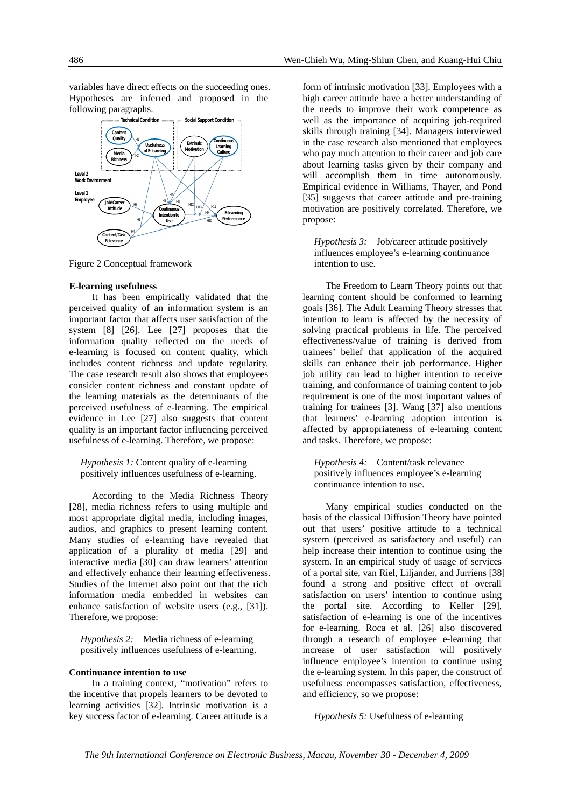variables have direct effects on the succeeding ones. Hypotheses are inferred and proposed in the following paragraphs.



Figure 2 Conceptual framework

#### **E-learning usefulness**

It has been empirically validated that the perceived quality of an information system is an important factor that affects user satisfaction of the system [8] [26]. Lee [27] proposes that the information quality reflected on the needs of e-learning is focused on content quality, which includes content richness and update regularity. The case research result also shows that employees consider content richness and constant update of the learning materials as the determinants of the perceived usefulness of e-learning. The empirical evidence in Lee [27] also suggests that content quality is an important factor influencing perceived usefulness of e-learning. Therefore, we propose:

*Hypothesis 1:* Content quality of e-learning positively influences usefulness of e-learning.

According to the Media Richness Theory [28], media richness refers to using multiple and most appropriate digital media, including images, audios, and graphics to present learning content. Many studies of e-learning have revealed that application of a plurality of media [29] and interactive media [30] can draw learners' attention and effectively enhance their learning effectiveness. Studies of the Internet also point out that the rich information media embedded in websites can enhance satisfaction of website users (e.g., [31]). Therefore, we propose:

*Hypothesis 2:* Media richness of e-learning positively influences usefulness of e-learning.

#### **Continuance intention to use**

In a training context, "motivation" refers to the incentive that propels learners to be devoted to learning activities [32]. Intrinsic motivation is a key success factor of e-learning. Career attitude is a

form of intrinsic motivation [33]. Employees with a high career attitude have a better understanding of the needs to improve their work competence as well as the importance of acquiring job-required skills through training [34]. Managers interviewed in the case research also mentioned that employees who pay much attention to their career and job care about learning tasks given by their company and will accomplish them in time autonomously. Empirical evidence in Williams, Thayer, and Pond [35] suggests that career attitude and pre-training motivation are positively correlated. Therefore, we propose:

*Hypothesis 3:* Job/career attitude positively influences employee's e-learning continuance intention to use.

The Freedom to Learn Theory points out that learning content should be conformed to learning goals [36]. The Adult Learning Theory stresses that intention to learn is affected by the necessity of solving practical problems in life. The perceived effectiveness/value of training is derived from trainees' belief that application of the acquired skills can enhance their job performance. Higher job utility can lead to higher intention to receive training, and conformance of training content to job requirement is one of the most important values of training for trainees [3]. Wang [37] also mentions that learners' e-learning adoption intention is affected by appropriateness of e-learning content and tasks. Therefore, we propose:

*Hypothesis 4:* Content/task relevance positively influences employee's e-learning continuance intention to use.

Many empirical studies conducted on the basis of the classical Diffusion Theory have pointed out that users' positive attitude to a technical system (perceived as satisfactory and useful) can help increase their intention to continue using the system. In an empirical study of usage of services of a portal site, van Riel, Liljander, and Jurriens [38] found a strong and positive effect of overall satisfaction on users' intention to continue using the portal site. According to Keller [29], satisfaction of e-learning is one of the incentives for e-learning. Roca et al. [26] also discovered through a research of employee e-learning that increase of user satisfaction will positively influence employee's intention to continue using the e-learning system. In this paper, the construct of usefulness encompasses satisfaction, effectiveness, and efficiency, so we propose:

*Hypothesis 5:* Usefulness of e-learning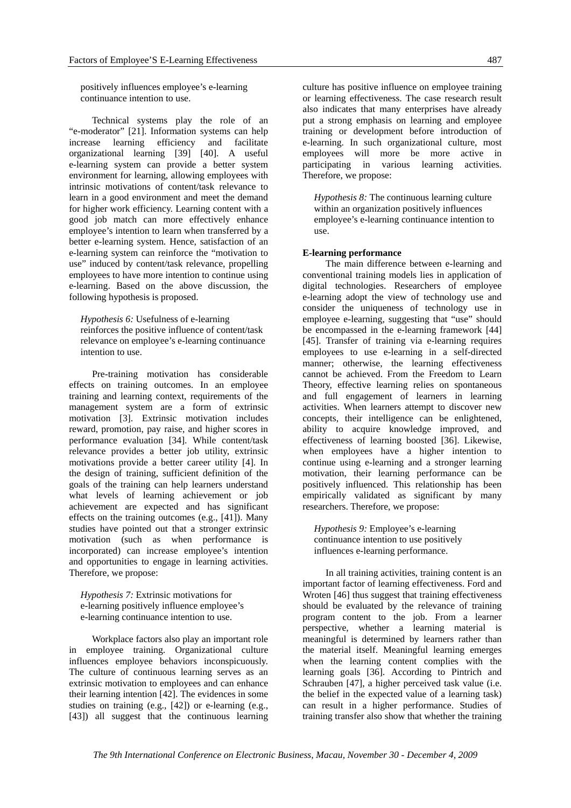positively influences employee's e-learning continuance intention to use.

Technical systems play the role of an "e-moderator" [21]. Information systems can help increase learning efficiency and facilitate organizational learning [39] [40]. A useful e-learning system can provide a better system environment for learning, allowing employees with intrinsic motivations of content/task relevance to learn in a good environment and meet the demand for higher work efficiency. Learning content with a good job match can more effectively enhance employee's intention to learn when transferred by a better e-learning system. Hence, satisfaction of an e-learning system can reinforce the "motivation to use" induced by content/task relevance, propelling employees to have more intention to continue using e-learning. Based on the above discussion, the following hypothesis is proposed.

*Hypothesis 6:* Usefulness of e-learning reinforces the positive influence of content/task relevance on employee's e-learning continuance intention to use.

Pre-training motivation has considerable effects on training outcomes. In an employee training and learning context, requirements of the management system are a form of extrinsic motivation [3]. Extrinsic motivation includes reward, promotion, pay raise, and higher scores in performance evaluation [34]. While content/task relevance provides a better job utility, extrinsic motivations provide a better career utility [4]. In the design of training, sufficient definition of the goals of the training can help learners understand what levels of learning achievement or job achievement are expected and has significant effects on the training outcomes (e.g., [41]). Many studies have pointed out that a stronger extrinsic motivation (such as when performance is incorporated) can increase employee's intention and opportunities to engage in learning activities. Therefore, we propose:

*Hypothesis 7:* Extrinsic motivations for e-learning positively influence employee's e-learning continuance intention to use.

Workplace factors also play an important role in employee training. Organizational culture influences employee behaviors inconspicuously. The culture of continuous learning serves as an extrinsic motivation to employees and can enhance their learning intention [42]. The evidences in some studies on training (e.g., [42]) or e-learning (e.g., [43]) all suggest that the continuous learning

culture has positive influence on employee training or learning effectiveness. The case research result also indicates that many enterprises have already put a strong emphasis on learning and employee training or development before introduction of e-learning. In such organizational culture, most employees will more be more active in participating in various learning activities. Therefore, we propose:

*Hypothesis 8:* The continuous learning culture within an organization positively influences employee's e-learning continuance intention to use.

#### **E-learning performance**

The main difference between e-learning and conventional training models lies in application of digital technologies. Researchers of employee e-learning adopt the view of technology use and consider the uniqueness of technology use in employee e-learning, suggesting that "use" should be encompassed in the e-learning framework [44] [45]. Transfer of training via e-learning requires employees to use e-learning in a self-directed manner; otherwise, the learning effectiveness cannot be achieved. From the Freedom to Learn Theory, effective learning relies on spontaneous and full engagement of learners in learning activities. When learners attempt to discover new concepts, their intelligence can be enlightened, ability to acquire knowledge improved, and effectiveness of learning boosted [36]. Likewise, when employees have a higher intention to continue using e-learning and a stronger learning motivation, their learning performance can be positively influenced. This relationship has been empirically validated as significant by many researchers. Therefore, we propose:

*Hypothesis 9:* Employee's e-learning continuance intention to use positively influences e-learning performance.

In all training activities, training content is an important factor of learning effectiveness. Ford and Wroten [46] thus suggest that training effectiveness should be evaluated by the relevance of training program content to the job. From a learner perspective, whether a learning material is meaningful is determined by learners rather than the material itself. Meaningful learning emerges when the learning content complies with the learning goals [36]. According to Pintrich and Schrauben [47], a higher perceived task value (i.e. the belief in the expected value of a learning task) can result in a higher performance. Studies of training transfer also show that whether the training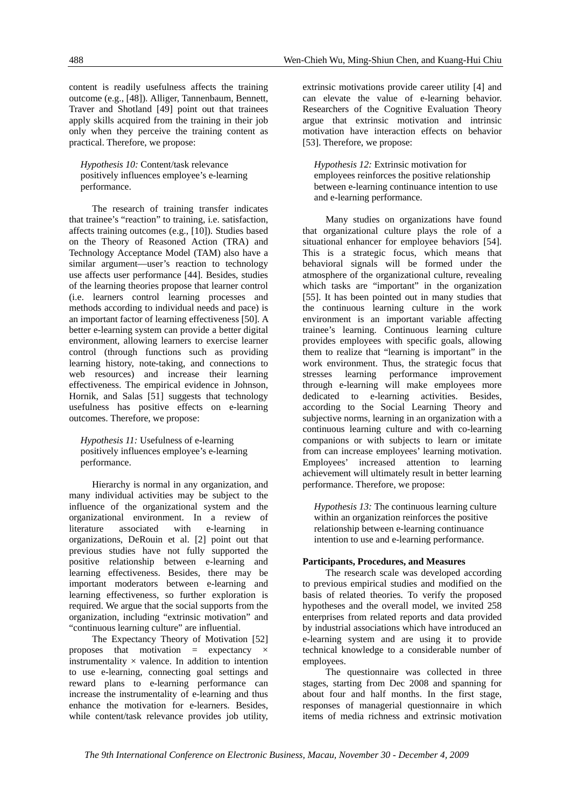content is readily usefulness affects the training outcome (e.g., [48]). Alliger, Tannenbaum, Bennett, Traver and Shotland [49] point out that trainees apply skills acquired from the training in their job only when they perceive the training content as practical. Therefore, we propose:

*Hypothesis 10:* Content/task relevance positively influences employee's e-learning performance.

The research of training transfer indicates that trainee's "reaction" to training, i.e. satisfaction, affects training outcomes (e.g., [10]). Studies based on the Theory of Reasoned Action (TRA) and Technology Acceptance Model (TAM) also have a similar argument—user's reaction to technology use affects user performance [44]. Besides, studies of the learning theories propose that learner control (i.e. learners control learning processes and methods according to individual needs and pace) is an important factor of learning effectiveness [50]. A better e-learning system can provide a better digital environment, allowing learners to exercise learner control (through functions such as providing learning history, note-taking, and connections to web resources) and increase their learning effectiveness. The empirical evidence in Johnson, Hornik, and Salas [51] suggests that technology usefulness has positive effects on e-learning outcomes. Therefore, we propose:

*Hypothesis 11:* Usefulness of e-learning positively influences employee's e-learning performance.

Hierarchy is normal in any organization, and many individual activities may be subject to the influence of the organizational system and the organizational environment. In a review of literature associated with e-learning in organizations, DeRouin et al. [2] point out that previous studies have not fully supported the positive relationship between e-learning and learning effectiveness. Besides, there may be important moderators between e-learning and learning effectiveness, so further exploration is required. We argue that the social supports from the organization, including "extrinsic motivation" and "continuous learning culture" are influential.

The Expectancy Theory of Motivation [52] proposes that motivation  $=$  expectancy  $\times$ instrumentality  $\times$  valence. In addition to intention to use e-learning, connecting goal settings and reward plans to e-learning performance can increase the instrumentality of e-learning and thus enhance the motivation for e-learners. Besides, while content/task relevance provides job utility,

extrinsic motivations provide career utility [4] and can elevate the value of e-learning behavior. Researchers of the Cognitive Evaluation Theory argue that extrinsic motivation and intrinsic motivation have interaction effects on behavior [53]. Therefore, we propose:

*Hypothesis 12:* Extrinsic motivation for employees reinforces the positive relationship between e-learning continuance intention to use and e-learning performance.

Many studies on organizations have found that organizational culture plays the role of a situational enhancer for employee behaviors [54]. This is a strategic focus, which means that behavioral signals will be formed under the atmosphere of the organizational culture, revealing which tasks are "important" in the organization [55]. It has been pointed out in many studies that the continuous learning culture in the work environment is an important variable affecting trainee's learning. Continuous learning culture provides employees with specific goals, allowing them to realize that "learning is important" in the work environment. Thus, the strategic focus that stresses learning performance improvement through e-learning will make employees more dedicated to e-learning activities. Besides, according to the Social Learning Theory and subjective norms, learning in an organization with a continuous learning culture and with co-learning companions or with subjects to learn or imitate from can increase employees' learning motivation. Employees' increased attention to learning achievement will ultimately result in better learning performance. Therefore, we propose:

*Hypothesis 13:* The continuous learning culture within an organization reinforces the positive relationship between e-learning continuance intention to use and e-learning performance.

## **Participants, Procedures, and Measures**

The research scale was developed according to previous empirical studies and modified on the basis of related theories. To verify the proposed hypotheses and the overall model, we invited 258 enterprises from related reports and data provided by industrial associations which have introduced an e-learning system and are using it to provide technical knowledge to a considerable number of employees.

The questionnaire was collected in three stages, starting from Dec 2008 and spanning for about four and half months. In the first stage, responses of managerial questionnaire in which items of media richness and extrinsic motivation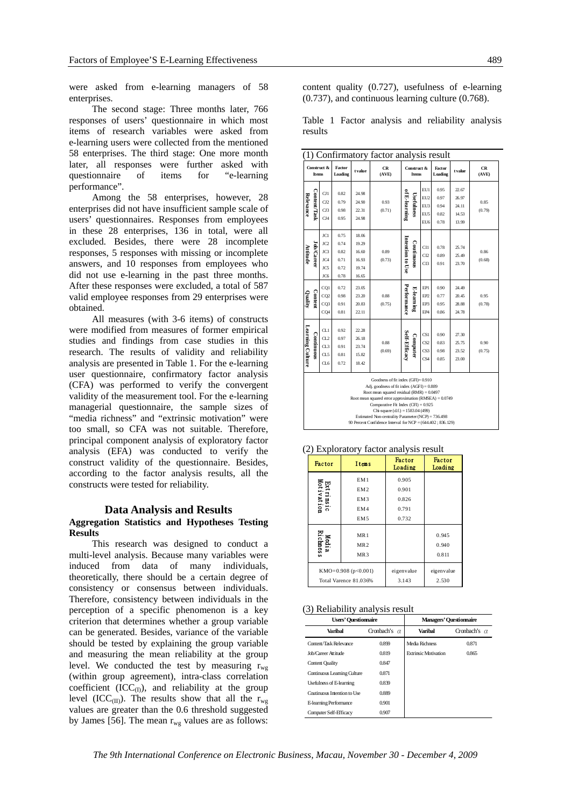were asked from e-learning managers of 58 enterprises.

The second stage: Three months later, 766 responses of users' questionnaire in which most items of research variables were asked from e-learning users were collected from the mentioned 58 enterprises. The third stage: One more month later, all responses were further asked with questionnaire of items for "e-learning performance".

Among the 58 enterprises, however, 28 enterprises did not have insufficient sample scale of users' questionnaires. Responses from employees in these 28 enterprises, 136 in total, were all excluded. Besides, there were 28 incomplete responses, 5 responses with missing or incomplete answers, and 10 responses from employees who did not use e-learning in the past three months. After these responses were excluded, a total of 587 valid employee responses from 29 enterprises were obtained.

All measures (with 3-6 items) of constructs were modified from measures of former empirical studies and findings from case studies in this research. The results of validity and reliability analysis are presented in Table 1. For the e-learning user questionnaire, confirmatory factor analysis (CFA) was performed to verify the convergent validity of the measurement tool. For the e-learning managerial questionnaire, the sample sizes of "media richness" and "extrinsic motivation" were too small, so CFA was not suitable. Therefore, principal component analysis of exploratory factor analysis (EFA) was conducted to verify the construct validity of the questionnaire. Besides, according to the factor analysis results, all the constructs were tested for reliability.

#### **Data Analysis and Results**

## **Aggregation Statistics and Hypotheses Testing Results**

This research was designed to conduct a multi-level analysis. Because many variables were induced from data of many individuals, theoretically, there should be a certain degree of consistency or consensus between individuals. Therefore, consistency between individuals in the perception of a specific phenomenon is a key criterion that determines whether a group variable can be generated. Besides, variance of the variable should be tested by explaining the group variable and measuring the mean reliability at the group level. We conducted the test by measuring  $r_{wg}$ (within group agreement), intra-class correlation coefficient  $(ICC<sub>(I)</sub>)$ , and reliability at the group level (ICC<sub>(II)</sub>). The results show that all the  $r_{\text{wo}}$ values are greater than the 0.6 threshold suggested by James [56]. The mean  $r_{\text{wg}}$  values are as follows:

content quality (0.727), usefulness of e-learning (0.737), and continuous learning culture (0.768).

Table 1 Factor analysis and reliability analysis results

|                  |                  |                                                           |                                              |                                                    | (1) Confirmatory factor analysis result                                                                                                                                                                                                                                                                                                                                                      |                                  |                                                                     |                                      |                                           |                    |
|------------------|------------------|-----------------------------------------------------------|----------------------------------------------|----------------------------------------------------|----------------------------------------------------------------------------------------------------------------------------------------------------------------------------------------------------------------------------------------------------------------------------------------------------------------------------------------------------------------------------------------------|----------------------------------|---------------------------------------------------------------------|--------------------------------------|-------------------------------------------|--------------------|
|                  | Items            | Construct &                                               | Factor<br>Loading                            | t value                                            | <b>CR</b><br>(AVE)                                                                                                                                                                                                                                                                                                                                                                           |                                  | Construct &<br><b>Items</b>                                         |                                      | t value                                   | <b>CR</b><br>(AVE) |
| Relevance        | Content/Task     | C11<br>C12<br>C13<br>CJ4                                  | 0.82<br>0.79<br>0.98<br>0.95                 | 24.98<br>24.90<br>22.31<br>24.98                   | 0.93<br>(0.71)                                                                                                                                                                                                                                                                                                                                                                               | of E-learning<br>Usefulnes       | EU1<br>EU <sub>2</sub><br>EU3<br>EU <sub>5</sub><br>EU <sub>6</sub> | 0.95<br>0.97<br>0.94<br>0.82<br>0.78 | 22.67<br>26.97<br>24.11<br>14.53<br>13.99 | 0.85<br>(0.79)     |
| Attitude         | <b>JobCareer</b> | JC1<br>JC <sub>2</sub><br>JC3<br>JC4<br><b>JCS</b><br>JC6 | 0.75<br>0.74<br>0.82<br>0.71<br>0.72<br>0.78 | 18.06<br>19.29<br>16.60<br>16.93<br>19.74<br>16.65 | 0.89<br>(0.73)                                                                                                                                                                                                                                                                                                                                                                               | Intention to Use<br>Coutinuous   | CI1<br>CI <sub>2</sub><br>CI3                                       | 0.78<br>0.89<br>0.91                 | 25.74<br>25.49<br>23.70                   | 0.86<br>(0.68)     |
| Quality          | Content          | CQ1<br>CQ <sub>2</sub><br>CQ3<br>CO <sub>4</sub>          | 0.72<br>0.98<br>0.91<br>0.81                 | 23.05<br>23.20<br>20.83<br>22.11                   | 0.88<br>(0.75)                                                                                                                                                                                                                                                                                                                                                                               | Performance<br><b>E-learning</b> | EP1<br>EP <sub>2</sub><br>EP3<br>EP <sub>4</sub>                    | 0.90<br>0.77<br>0.95<br>0.86         | 24.49<br>20.45<br>28.88<br>24.78          | 0.95<br>(0.78)     |
| Learning Culture | Continuous       | CL1<br>CL2<br>CL3<br>CL5<br>CL6                           | 0.92<br>0.97<br>0.91<br>0.81<br>0.72         | 22.28<br>26.18<br>23.74<br>15.82<br>18.42          | 0.88<br>(0.69)                                                                                                                                                                                                                                                                                                                                                                               | Self-Efficacy<br>Computer        | CS1<br>CS <sub>2</sub><br>CS <sub>3</sub><br>CS <sub>4</sub>        | 0.90<br>0.83<br>0.98<br>0.85         | 27.30<br>25.75<br>23.52<br>23.00          | 0.90<br>(0.75)     |
|                  |                  |                                                           |                                              |                                                    | Goodness of fit index (GFI)=0.910<br>Adj. goodness of fit index (AGFI) = 0.889<br>Root mean squared residual (RMR) = $0.0497$<br>Root mean squared error approximation (RMSEA) $= 0.0749$<br>Comparative Fit Index (CFI) = $0.925$<br>Chi-square $(df.) = 1583.04(499)$<br>Estimated Non-centrality Parameter (NCP) = 736.498<br>90 Percent Confidence Interval for NCP = (644.402; 836.129) |                                  |                                                                     |                                      |                                           |                    |

(2) Exploratory factor analysis result

| Factor                  | Items                                                               | Factor<br>Loading                         | <b>Factor</b><br>Loading |
|-------------------------|---------------------------------------------------------------------|-------------------------------------------|--------------------------|
| Extrinsic<br>Motivation | EM1<br>EM <sub>2</sub><br>EM <sub>3</sub><br>EM4<br>EM <sub>5</sub> | 0.905<br>0.901<br>0.826<br>0.791<br>0.732 |                          |
| Media<br>Richness       | MR <sub>1</sub><br>MR <sub>2</sub><br>MR <sub>3</sub>               |                                           | 0.945<br>0.940<br>0.811  |
|                         | KMO=0.908 ( $p<0.001$ )<br>Total Varence 81.036%                    | eigenvalue<br>3.143                       | eigenvalue<br>2.530      |

#### (3) Reliability analysis result

| <b>Users' Questionnaire</b>  |                     | <b>Managers' Ouestionnaire</b> |                     |  |  |
|------------------------------|---------------------|--------------------------------|---------------------|--|--|
| Varibal                      | Cronbach's $\alpha$ | Varibal                        | Cronbach's $\alpha$ |  |  |
| Content/Task Relevance       | 0.899               | Media Richness                 | 0.871               |  |  |
| Job/Career Attitude          | 0.819               | <b>Extrinsic Motivation</b>    | 0.865               |  |  |
| <b>Content Quality</b>       | 0.847               |                                |                     |  |  |
| Continuous Leaming Culture   | 0.871               |                                |                     |  |  |
| Usefulness of E-learning     | 0.839               |                                |                     |  |  |
| Cautinuous Intention to Lise | 0.889               |                                |                     |  |  |
| E-learning Performance       | 0.901               |                                |                     |  |  |
| Computer Self-Efficacy       | 0.907               |                                |                     |  |  |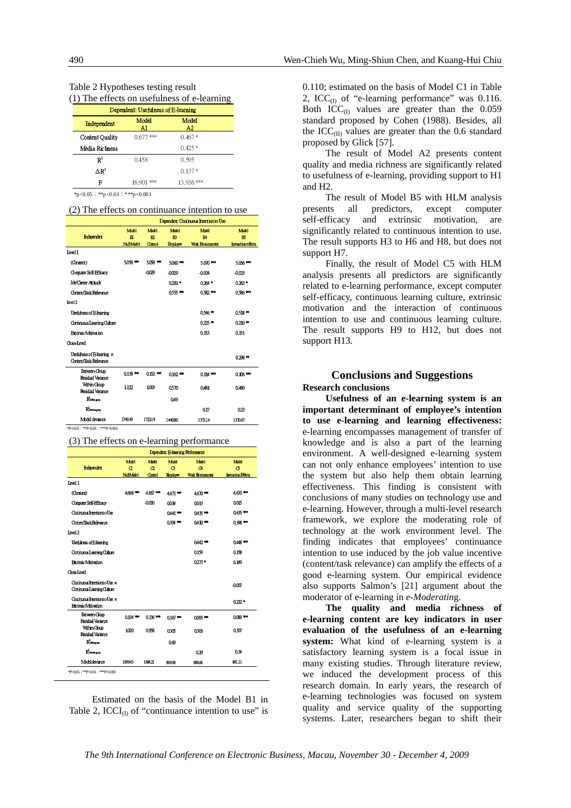| Table 2 Hypotheses testing result |                                         |
|-----------------------------------|-----------------------------------------|
|                                   | (1) The effects on usefulness of e-lear |

|  |  | 1) The effects on usefulness of e-fearning |  |  |
|--|--|--------------------------------------------|--|--|
|  |  |                                            |  |  |

| Dependent: Usefulness of E-learning |              |             |  |  |  |  |
|-------------------------------------|--------------|-------------|--|--|--|--|
| Independent                         | Model<br>Al  | Model<br>A2 |  |  |  |  |
| <b>Content Quality</b>              | $0.677$ ***  | $0.467*$    |  |  |  |  |
| Media Richness                      |              | $0.425*$    |  |  |  |  |
| R <sup>2</sup>                      | 0.458        | 0.595       |  |  |  |  |
| $\triangle R^2$                     |              | $0.137*$    |  |  |  |  |
| F                                   | $*$<br>16 90 | $13.936$ ** |  |  |  |  |

 $p < 0.05$ ; \*\*p<0.01; \*\*\*p<0.001

| (2) The effects on continuance intention to use |  |  |
|-------------------------------------------------|--|--|
|-------------------------------------------------|--|--|

| Dependent: Coutimous Intention to Use               |                                   |                              |                                   |                                      |                                          |
|-----------------------------------------------------|-----------------------------------|------------------------------|-----------------------------------|--------------------------------------|------------------------------------------|
| Internett                                           | Mobil<br>$H$<br><b>Null Molel</b> | Mobil<br><b>R</b><br>Christi | Mainl<br>E <sub>0</sub><br>Embyce | Mobil<br>B4<br><b>Wak Emsignment</b> | Mobil<br>BS<br><b>Interactioneffects</b> |
| Level 1                                             |                                   |                              |                                   |                                      |                                          |
| (Constent)                                          | 5058 ***                          | 508 **                       | $500$ $**$                        | 5.070                                | 5.066***                                 |
| Computer Self-Efficacy                              |                                   | $-0029$                      | $-0029$                           | $-0.004$                             | -0.00B                                   |
| <b>Job Career Atritude</b>                          |                                   |                              | $0281*$                           | $0.261*$                             | $0.23*$                                  |
| Content/Task Relevance                              |                                   |                              | 0555 WH                           | $0.92**$                             | $0.586***$                               |
| Level 2                                             |                                   |                              |                                   |                                      |                                          |
| <b>Usefulness of E learning</b>                     |                                   |                              |                                   | $0.546*$                             | $0.518 +$                                |
| Continuous Learning Culture                         |                                   |                              |                                   | $0.225$ **                           | $0.210**$                                |
| <b>Extrinsic Motivation</b>                         |                                   |                              |                                   | 0.153                                | 0.151                                    |
| <b>Closs Level</b>                                  |                                   |                              |                                   |                                      |                                          |
| Usefulness of Blearning x<br>Content/Task Relevance |                                   |                              |                                   |                                      | $0.28*$                                  |
| <b>Between-Group</b><br><b>Residual Variance</b>    | 0138 **                           | 0152 ***                     | $0162$ **                         | $0.114***$                           | $0.106***$                               |
| <b>Within-Crown</b><br><b>Residual Variance</b>     | 1.122                             | 1.008                        | 0570                              | 0.431                                | 0.480                                    |
| Rettingung                                          |                                   |                              | 049                               |                                      |                                          |
| Rimmon                                              |                                   |                              |                                   | 017                                  | 023                                      |
| Model deviance                                      | 1749.43                           | 172219                       | 144090                            | 1373.14                              | 1370.67                                  |
| *P<005: **P<001: ***P<0001                          |                                   |                              |                                   |                                      |                                          |

(3) The effects on e-learning performance

| Dependent: E-learning Performance                            |                 |            |                |                         |                            |  |
|--------------------------------------------------------------|-----------------|------------|----------------|-------------------------|----------------------------|--|
|                                                              | Mill            | Mill       | Mill           | Mild                    | Mill                       |  |
| Interestent                                                  | $\alpha$        | $\alpha$   | c              | $\alpha$                | $\sigma$                   |  |
|                                                              | <b>NillMaid</b> | Cortol     | <b>Huloje:</b> | <b>Work Environment</b> | <b>Interaction Effects</b> |  |
| Level 1                                                      |                 |            |                |                         |                            |  |
| (Constent)                                                   | 4668**          | 4.657**    | 4671           | 4670**                  | $460**$                    |  |
| Company Self-Hireacy                                         |                 | 000        | 0014           | 0013                    | 0015                       |  |
| CatinousIntertiontoUse                                       |                 |            | 0441 ***       | 0435'''                 | $0.435***$                 |  |
| Content/lask Relevance                                       |                 |            | 0394 ***       | $0410***$               | 0.398 ***                  |  |
| Level 2                                                      |                 |            |                |                         |                            |  |
| Ucfuines of Bleaming                                         |                 |            |                | $0.442$ ***             | $0.448***$                 |  |
| Cominous Learning Culture                                    |                 |            |                | 0159                    | 013                        |  |
| <b>Estringc Mativation</b>                                   |                 |            |                | $0273*$                 | 0.149                      |  |
| <b>Cost Level</b>                                            |                 |            |                |                         |                            |  |
| Crutinuous Intertion to Use x<br>Cortinuous Learning Culture |                 |            |                |                         | -0007                      |  |
| Commons Intertion to Use x<br><b>Ethnic Maration</b>         |                 |            |                |                         | $0.212*$                   |  |
| Between-Group<br><b>Residual Variance</b>                    | $0134$ **       | $0.136***$ | $0167**$       | 0095**                  | 009 ***                    |  |
| <b>Within Goup</b><br><b>Residual Variance</b>               | 1.020           | 0.938      | 0305           | 0306                    | 030                        |  |
| $R^2$                                                        |                 |            | 00             |                         |                            |  |
| $R_{\rm beam}$                                               |                 |            |                | 029                     | 0.34                       |  |
| Modeldsmanne                                                 | 169943          | 169121     | 899.98         | 890.64                  | 891.11                     |  |

Estimated on the basis of the Model B1 in Table 2,  $ICCI_{(1)}$  of "continuance intention to use" is 0.110; estimated on the basis of Model C1 in Table 2, ICC $_{(I)}$  of "e-learning performance" was 0.116. Both  $ICC<sub>(I)</sub>$  values are greater than the 0.059 standard proposed by Cohen (1988). Besides, all the ICC $_{(II)}$  values are greater than the 0.6 standard proposed by Glick [57].

The result of Model A2 presents content quality and media richness are significantly related to usefulness of e-learning, providing support to H1 and H2.

The result of Model B5 with HLM analysis presents all predictors, except computer self-efficacy and extrinsic motivation, are significantly related to continuous intention to use. The result supports H3 to H6 and H8, but does not support H7.

Finally, the result of Model C5 with HLM analysis presents all predictors are significantly related to e-learning performance, except computer self-efficacy, continuous learning culture, extrinsic motivation and the interaction of continuous intention to use and continuous learning culture. The result supports H9 to H12, but does not support H13.

## **Conclusions and Suggestions Research conclusions**

**Usefulness of an e-learning system is an important determinant of employee's intention to use e-learning and learning effectiveness:** e-learning encompasses management of transfer of knowledge and is also a part of the learning environment. A well-designed e-learning system can not only enhance employees' intention to use the system but also help them obtain learning effectiveness. This finding is consistent with conclusions of many studies on technology use and e-learning. However, through a multi-level research framework, we explore the moderating role of technology at the work environment level. The finding indicates that employees' continuance intention to use induced by the job value incentive (content/task relevance) can amplify the effects of a good e-learning system. Our empirical evidence also supports Salmon's [21] argument about the moderator of e-learning in *e-Moderatin*g.

**The quality and media richness of e-learning content are key indicators in user evaluation of the usefulness of an e-learning system:** What kind of e-learning system is a satisfactory learning system is a focal issue in many existing studies. Through literature review, we induced the development process of this research domain. In early years, the research of e-learning technologies was focused on system quality and service quality of the supporting systems. Later, researchers began to shift their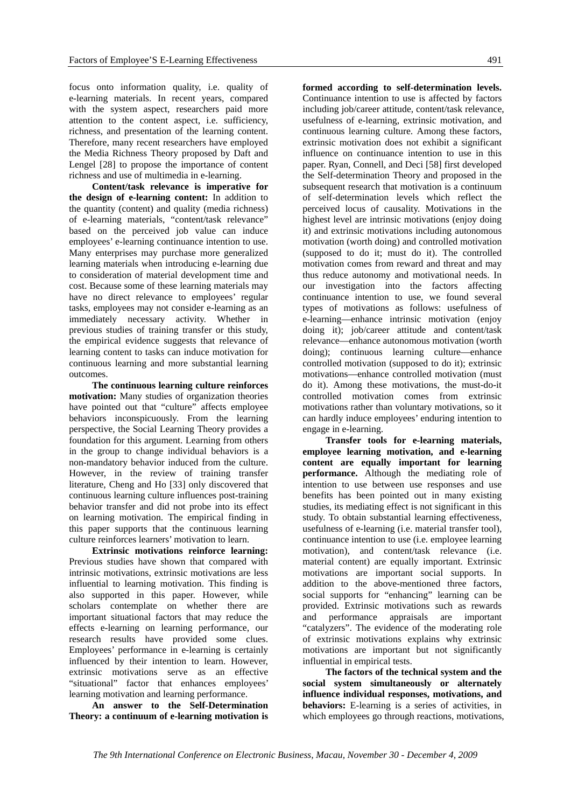focus onto information quality, i.e. quality of e-learning materials. In recent years, compared with the system aspect, researchers paid more attention to the content aspect, i.e. sufficiency, richness, and presentation of the learning content. Therefore, many recent researchers have employed the Media Richness Theory proposed by Daft and Lengel [28] to propose the importance of content richness and use of multimedia in e-learning.

**Content/task relevance is imperative for the design of e-learning content:** In addition to the quantity (content) and quality (media richness) of e-learning materials, "content/task relevance" based on the perceived job value can induce employees' e-learning continuance intention to use. Many enterprises may purchase more generalized learning materials when introducing e-learning due to consideration of material development time and cost. Because some of these learning materials may have no direct relevance to employees' regular tasks, employees may not consider e-learning as an immediately necessary activity. Whether in previous studies of training transfer or this study, the empirical evidence suggests that relevance of learning content to tasks can induce motivation for continuous learning and more substantial learning outcomes.

**The continuous learning culture reinforces motivation:** Many studies of organization theories have pointed out that "culture" affects employee behaviors inconspicuously. From the learning perspective, the Social Learning Theory provides a foundation for this argument. Learning from others in the group to change individual behaviors is a non-mandatory behavior induced from the culture. However, in the review of training transfer literature, Cheng and Ho [33] only discovered that continuous learning culture influences post-training behavior transfer and did not probe into its effect on learning motivation. The empirical finding in this paper supports that the continuous learning culture reinforces learners' motivation to learn.

**Extrinsic motivations reinforce learning:**  Previous studies have shown that compared with intrinsic motivations, extrinsic motivations are less influential to learning motivation. This finding is also supported in this paper. However, while scholars contemplate on whether there are important situational factors that may reduce the effects e-learning on learning performance, our research results have provided some clues. Employees' performance in e-learning is certainly influenced by their intention to learn. However, extrinsic motivations serve as an effective "situational" factor that enhances employees' learning motivation and learning performance.

**An answer to the Self-Determination Theory: a continuum of e-learning motivation is** 

**formed according to self-determination levels.**  Continuance intention to use is affected by factors including job/career attitude, content/task relevance, usefulness of e-learning, extrinsic motivation, and continuous learning culture. Among these factors, extrinsic motivation does not exhibit a significant influence on continuance intention to use in this paper. Ryan, Connell, and Deci [58] first developed the Self-determination Theory and proposed in the subsequent research that motivation is a continuum of self-determination levels which reflect the perceived locus of causality. Motivations in the highest level are intrinsic motivations (enjoy doing it) and extrinsic motivations including autonomous motivation (worth doing) and controlled motivation (supposed to do it; must do it). The controlled motivation comes from reward and threat and may thus reduce autonomy and motivational needs. In our investigation into the factors affecting continuance intention to use, we found several types of motivations as follows: usefulness of e-learning—enhance intrinsic motivation (enjoy doing it); job/career attitude and content/task relevance—enhance autonomous motivation (worth doing); continuous learning culture—enhance controlled motivation (supposed to do it); extrinsic motivations—enhance controlled motivation (must do it). Among these motivations, the must-do-it controlled motivation comes from extrinsic motivations rather than voluntary motivations, so it can hardly induce employees' enduring intention to engage in e-learning.

**Transfer tools for e-learning materials, employee learning motivation, and e-learning content are equally important for learning performance.** Although the mediating role of intention to use between use responses and use benefits has been pointed out in many existing studies, its mediating effect is not significant in this study. To obtain substantial learning effectiveness, usefulness of e-learning (i.e. material transfer tool), continuance intention to use (i.e. employee learning motivation), and content/task relevance (i.e. material content) are equally important. Extrinsic motivations are important social supports. In addition to the above-mentioned three factors, social supports for "enhancing" learning can be provided. Extrinsic motivations such as rewards and performance appraisals are important "catalyzers". The evidence of the moderating role of extrinsic motivations explains why extrinsic motivations are important but not significantly influential in empirical tests.

**The factors of the technical system and the social system simultaneously or alternately influence individual responses, motivations, and behaviors:** E-learning is a series of activities, in which employees go through reactions, motivations,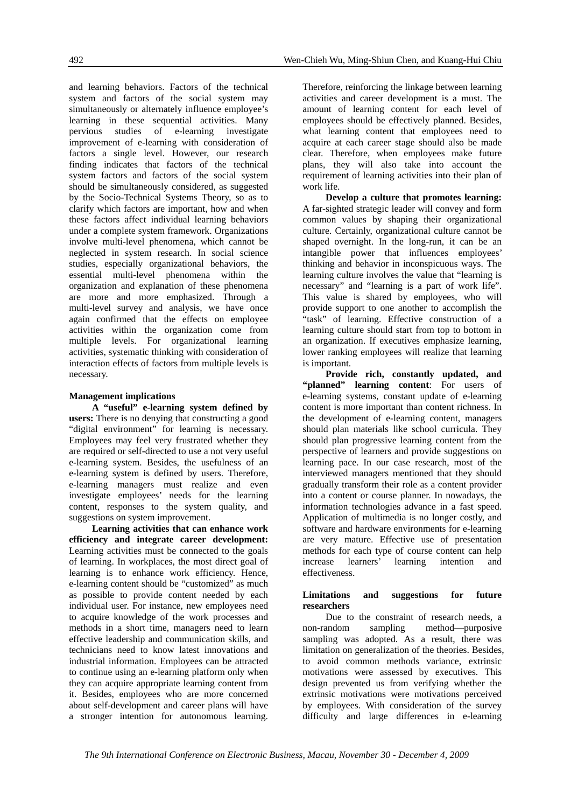and learning behaviors. Factors of the technical system and factors of the social system may simultaneously or alternately influence employee's learning in these sequential activities. Many pervious studies of e-learning investigate improvement of e-learning with consideration of factors a single level. However, our research finding indicates that factors of the technical system factors and factors of the social system should be simultaneously considered, as suggested by the Socio-Technical Systems Theory, so as to clarify which factors are important, how and when these factors affect individual learning behaviors under a complete system framework. Organizations involve multi-level phenomena, which cannot be neglected in system research. In social science studies, especially organizational behaviors, the essential multi-level phenomena within the organization and explanation of these phenomena are more and more emphasized. Through a multi-level survey and analysis, we have once again confirmed that the effects on employee activities within the organization come from multiple levels. For organizational learning activities, systematic thinking with consideration of interaction effects of factors from multiple levels is necessary.

#### **Management implications**

**A "useful" e-learning system defined by users:** There is no denying that constructing a good "digital environment" for learning is necessary. Employees may feel very frustrated whether they are required or self-directed to use a not very useful e-learning system. Besides, the usefulness of an e-learning system is defined by users. Therefore, e-learning managers must realize and even investigate employees' needs for the learning content, responses to the system quality, and suggestions on system improvement.

**Learning activities that can enhance work efficiency and integrate career development:** Learning activities must be connected to the goals of learning. In workplaces, the most direct goal of learning is to enhance work efficiency. Hence, e-learning content should be "customized" as much as possible to provide content needed by each individual user. For instance, new employees need to acquire knowledge of the work processes and methods in a short time, managers need to learn effective leadership and communication skills, and technicians need to know latest innovations and industrial information. Employees can be attracted to continue using an e-learning platform only when they can acquire appropriate learning content from it. Besides, employees who are more concerned about self-development and career plans will have a stronger intention for autonomous learning.

Therefore, reinforcing the linkage between learning activities and career development is a must. The amount of learning content for each level of employees should be effectively planned. Besides, what learning content that employees need to acquire at each career stage should also be made clear. Therefore, when employees make future plans, they will also take into account the requirement of learning activities into their plan of work life.

**Develop a culture that promotes learning:**  A far-sighted strategic leader will convey and form common values by shaping their organizational culture. Certainly, organizational culture cannot be shaped overnight. In the long-run, it can be an intangible power that influences employees' thinking and behavior in inconspicuous ways. The learning culture involves the value that "learning is necessary" and "learning is a part of work life". This value is shared by employees, who will provide support to one another to accomplish the "task" of learning. Effective construction of a learning culture should start from top to bottom in an organization. If executives emphasize learning, lower ranking employees will realize that learning is important.

**Provide rich, constantly updated, and "planned" learning content**: For users of e-learning systems, constant update of e-learning content is more important than content richness. In the development of e-learning content, managers should plan materials like school curricula. They should plan progressive learning content from the perspective of learners and provide suggestions on learning pace. In our case research, most of the interviewed managers mentioned that they should gradually transform their role as a content provider into a content or course planner. In nowadays, the information technologies advance in a fast speed. Application of multimedia is no longer costly, and software and hardware environments for e-learning are very mature. Effective use of presentation methods for each type of course content can help increase learners' learning intention and effectiveness.

#### **Limitations and suggestions for future researchers**

Due to the constraint of research needs, a non-random sampling method—purposive sampling was adopted. As a result, there was limitation on generalization of the theories. Besides, to avoid common methods variance, extrinsic motivations were assessed by executives. This design prevented us from verifying whether the extrinsic motivations were motivations perceived by employees. With consideration of the survey difficulty and large differences in e-learning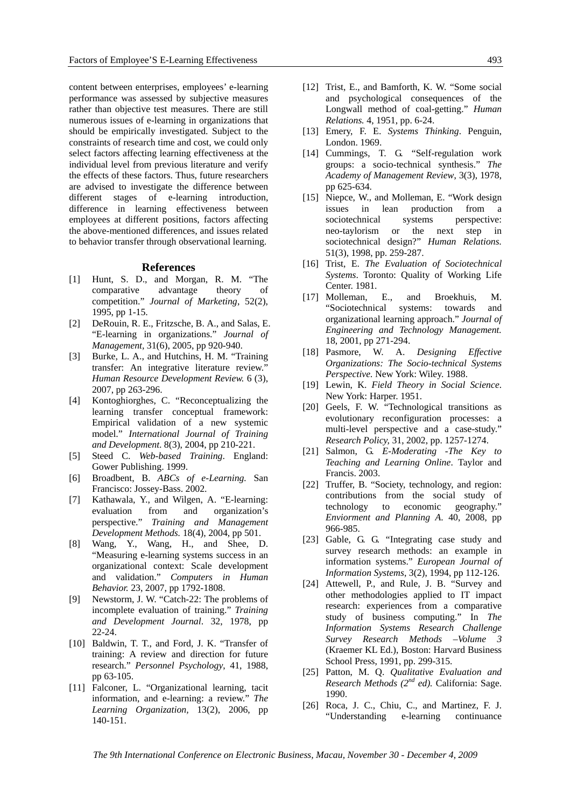content between enterprises, employees' e-learning performance was assessed by subjective measures rather than objective test measures. There are still numerous issues of e-learning in organizations that should be empirically investigated. Subject to the constraints of research time and cost, we could only select factors affecting learning effectiveness at the individual level from previous literature and verify the effects of these factors. Thus, future researchers are advised to investigate the difference between different stages of e-learning introduction, difference in learning effectiveness between employees at different positions, factors affecting the above-mentioned differences, and issues related to behavior transfer through observational learning.

#### **References**

- [1] Hunt, S. D., and Morgan, R. M. "The comparative advantage theory of competition." *Journal of Marketing*, 52(2), 1995, pp 1-15.
- [2] DeRouin, R. E., Fritzsche, B. A., and Salas, E. "E-learning in organizations." *Journal of Management,* 31(6), 2005, pp 920-940.
- [3] Burke, L. A., and Hutchins, H. M. "Training transfer: An integrative literature review." *Human Resource Development Review.* 6 (3), 2007, pp 263-296.
- [4] Kontoghiorghes, C. "Reconceptualizing the learning transfer conceptual framework: Empirical validation of a new systemic model." *International Journal of Training and Development*. 8(3), 2004, pp 210-221.
- [5] Steed C. *Web-based Training*. England: Gower Publishing. 1999.
- [6] Broadbent, B. *ABCs of e-Learning.* San Francisco: Jossey-Bass. 2002.
- [7] Kathawala, Y., and Wilgen, A. "E-learning: evaluation from and organization's perspective." *Training and Management Development Methods.* 18(4), 2004, pp 501.
- [8] Wang, Y., Wang, H., and Shee, D. "Measuring e-learning systems success in an organizational context: Scale development and validation." *Computers in Human Behavior.* 23, 2007, pp 1792-1808.
- [9] Newstorm, J. W. "Catch-22: The problems of incomplete evaluation of training." *Training and Development Journal*. 32, 1978, pp 22-24.
- [10] Baldwin, T. T., and Ford, J. K. "Transfer of training: A review and direction for future research." *Personnel Psychology*, 41, 1988, pp 63-105.
- [11] Falconer, L. "Organizational learning, tacit information, and e-learning: a review." *The Learning Organization,* 13(2), 2006, pp 140-151.
- [12] Trist, E., and Bamforth, K. W. "Some social and psychological consequences of the Longwall method of coal-getting." *Human Relations.* 4, 1951, pp. 6-24.
- [13] Emery, F. E. *Systems Thinking*. Penguin, London. 1969.
- [14] Cummings, T. G. "Self-regulation work groups: a socio-technical synthesis." *The Academy of Management Review*, 3(3), 1978, pp 625-634.
- [15] Niepce, W., and Molleman, E. "Work design issues in lean production from a sociotechnical systems perspective: neo-taylorism or the next step in sociotechnical design?" *Human Relations.*  51(3), 1998, pp. 259-287.
- [16] Trist, E. *The Evaluation of Sociotechnical Systems*. Toronto: Quality of Working Life Center. 1981.
- [17] Molleman, E., and Broekhuis, M. "Sociotechnical systems: towards and organizational learning approach." *Journal of Engineering and Technology Management.* 18, 2001, pp 271-294.
- [18] Pasmore, W. A. *Designing Effective Organizations: The Socio-technical Systems Perspective.* New York: Wiley. 1988.
- [19] Lewin, K. *Field Theory in Social Science*. New York: Harper. 1951.
- [20] Geels, F. W. "Technological transitions as evolutionary reconfiguration processes: a multi-level perspective and a case-study." *Research Policy,* 31, 2002, pp. 1257-1274.
- [21] Salmon, G. *E-Moderating -The Key to Teaching and Learning Online*. Taylor and Francis. 2003.
- [22] Truffer, B. "Society, technology, and region: contributions from the social study of technology to economic geography." *Enviorment and Planning A*. 40, 2008, pp 966-985.
- [23] Gable, G. G. "Integrating case study and survey research methods: an example in information systems." *European Journal of Information Systems*, 3(2), 1994, pp 112-126.
- [24] Attewell, P., and Rule, J. B. "Survey and other methodologies applied to IT impact research: experiences from a comparative study of business computing." In *The Information Systems Research Challenge Survey Research Methods –Volume 3* (Kraemer KL Ed.), Boston: Harvard Business School Press, 1991, pp. 299-315.
- [25] Patton, M. Q. *Qualitative Evaluation and Research Methods (2nd ed).* California: Sage. 1990.
- [26] Roca, J. C., Chiu, C., and Martinez, F. J. "Understanding e-learning continuance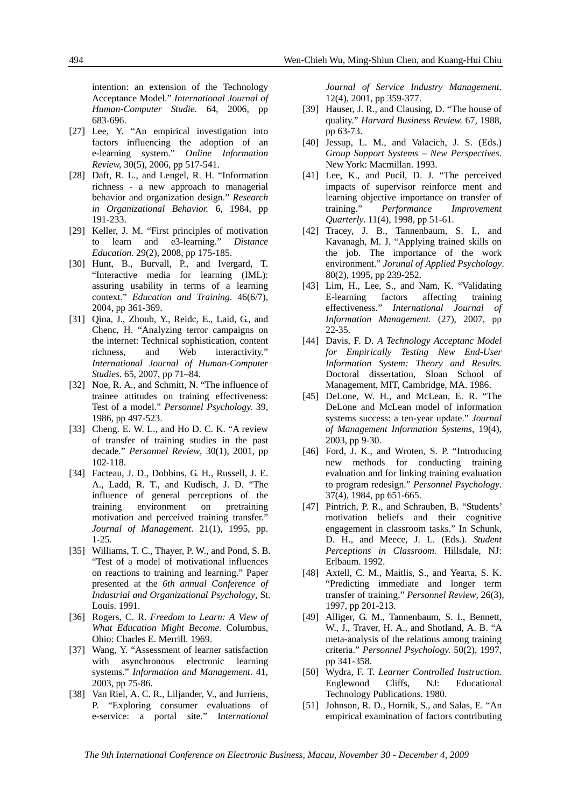intention: an extension of the Technology Acceptance Model." *International Journal of Human-Computer Studie.* 64, 2006, pp 683-696.

- [27] Lee, Y. "An empirical investigation into factors influencing the adoption of an e-learning system." *Online Information Review,* 30(5), 2006, pp 517-541.
- [28] Daft, R. L., and Lengel, R. H. "Information richness - a new approach to managerial behavior and organization design." *Research in Organizational Behavior.* 6, 1984, pp 191-233.
- [29] Keller, J. M. "First principles of motivation to learn and e3-learning." *Distance Education.* 29(2), 2008, pp 175-185.
- [30] Hunt, B., Burvall, P., and Ivergard, T. "Interactive media for learning (IML): assuring usability in terms of a learning context." *Education and Training*. 46(6/7), 2004, pp 361-369.
- [31] Qina, J., Zhoub, Y., Reidc, E., Laid, G., and Chenc, H. "Analyzing terror campaigns on the internet: Technical sophistication, content richness, and Web interactivity." *International Journal of Human-Computer Studies*. 65, 2007, pp 71–84.
- [32] Noe, R. A., and Schmitt, N. "The influence of trainee attitudes on training effectiveness: Test of a model." *Personnel Psychology.* 39, 1986, pp 497-523.
- [33] Cheng. E. W. L., and Ho D. C. K. "A review of transfer of training studies in the past decade." *Personnel Review*, 30(1), 2001, pp 102-118.
- [34] Facteau, J. D., Dobbins, G. H., Russell, J. E. A., Ladd, R. T., and Kudisch, J. D. "The influence of general perceptions of the training environment on pretraining motivation and perceived training transfer." *Journal of Management*. 21(1), 1995, pp. 1-25.
- [35] Williams, T. C., Thayer, P. W., and Pond, S. B. "Test of a model of motivational influences on reactions to training and learning." Paper presented at the *6th annual Conference of Industrial and Organizational Psychology*, St. Louis. 1991.
- [36] Rogers, C. R. *Freedom to Learn: A View of What Education Might Become*. Columbus, Ohio: Charles E. Merrill. 1969.
- [37] Wang, Y. "Assessment of learner satisfaction with asynchronous electronic learning systems." *Information and Management*. 41, 2003, pp 75-86.
- [38] Van Riel, A. C. R., Liljander, V., and Jurriens, P. "Exploring consumer evaluations of e-service: a portal site." I*nternational*

*Journal of Service Industry Management.* 12(4), 2001, pp 359-377.

- [39] Hauser, J. R., and Clausing, D. "The house of quality." *Harvard Business Review.* 67, 1988, pp 63-73.
- [40] Jessup, L. M., and Valacich, J. S. (Eds.) *Group Support Systems – New Perspectives.* New York: Macmillan. 1993.
- [41] Lee, K., and Pucil, D. J. "The perceived impacts of supervisor reinforce ment and learning objective importance on transfer of training." *Performance Improvement Quarterly*. 11(4), 1998, pp 51-61.
- [42] Tracey, J. B., Tannenbaum, S. I., and Kavanagh, M. J. "Applying trained skills on the job. The importance of the work environment." *Jorunal of Applied Psychology*. 80(2), 1995, pp 239-252.
- [43] Lim, H., Lee, S., and Nam, K. "Validating E-learning factors affecting training effectiveness." *International Journal of Information Management.* (27), 2007, pp 22-35.
- [44] Davis, F. D. *A Technology Acceptanc Model for Empirically Testing New End-User Information System: Theory and Results.* Doctoral dissertation, Sloan School of Management, MIT, Cambridge, MA. 1986.
- [45] DeLone, W. H., and McLean, E. R. "The DeLone and McLean model of information systems success: a ten-year update." *Journal of Management Information Systems*, 19(4), 2003, pp 9-30.
- [46] Ford, J. K., and Wroten, S. P. "Introducing new methods for conducting training evaluation and for linking training evaluation to program redesign." *Personnel Psychology*. 37(4), 1984, pp 651-665.
- [47] Pintrich, P. R., and Schrauben, B. "Students" motivation beliefs and their cognitive engagement in classroom tasks." In Schunk, D. H., and Meece, J. L. (Eds.). *Student Perceptions in Classroom.* Hillsdale, NJ: Erlbaum. 1992.
- [48] Axtell, C. M., Maitlis, S., and Yearta, S. K. "Predicting immediate and longer term transfer of training." *Personnel Review*, 26(3), 1997, pp 201-213.
- [49] Alliger, G. M., Tannenbaum, S. I., Bennett, W., J., Traver, H. A., and Shotland, A. B. "A meta-analysis of the relations among training criteria." *Personnel Psychology.* 50(2), 1997, pp 341-358.
- [50] Wydra, F. T. *Learner Controlled Instruction.* Englewood Cliffs, NJ: Educational Technology Publications. 1980.
- [51] Johnson, R. D., Hornik, S., and Salas, E. "An empirical examination of factors contributing